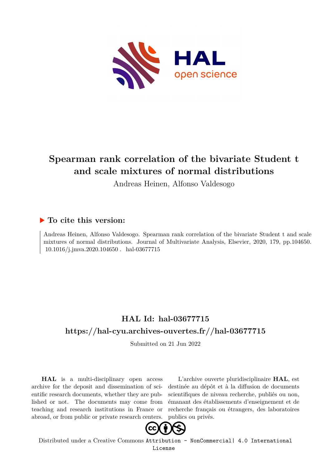

# **Spearman rank correlation of the bivariate Student t and scale mixtures of normal distributions**

Andreas Heinen, Alfonso Valdesogo

## **To cite this version:**

Andreas Heinen, Alfonso Valdesogo. Spearman rank correlation of the bivariate Student t and scale mixtures of normal distributions. Journal of Multivariate Analysis, Elsevier, 2020, 179, pp.104650.  $10.1016/j.jmva.2020.104650$ . hal-03677715

# **HAL Id: hal-03677715 <https://hal-cyu.archives-ouvertes.fr//hal-03677715>**

Submitted on 21 Jun 2022

**HAL** is a multi-disciplinary open access archive for the deposit and dissemination of scientific research documents, whether they are published or not. The documents may come from teaching and research institutions in France or abroad, or from public or private research centers.

L'archive ouverte pluridisciplinaire **HAL**, est destinée au dépôt et à la diffusion de documents scientifiques de niveau recherche, publiés ou non, émanant des établissements d'enseignement et de recherche français ou étrangers, des laboratoires publics ou privés.



Distributed under a Creative Commons [Attribution - NonCommercial| 4.0 International](http://creativecommons.org/licenses/by-nc/4.0/) [License](http://creativecommons.org/licenses/by-nc/4.0/)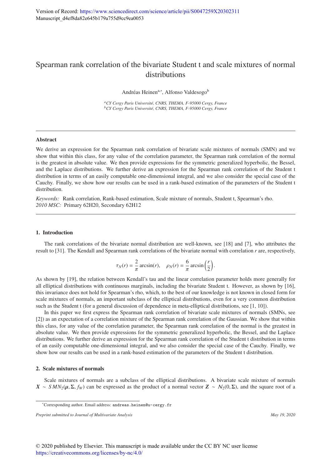## Spearman rank correlation of the bivariate Student t and scale mixtures of normal distributions

Andréas Heinen<sup>a,∗</sup>, Alfonso Valdesogo<sup>b</sup>

*<sup>a</sup>CY Cergy Paris Universit´e, CNRS, THEMA, F-95000 Cergy, France <sup>b</sup>CY Cergy Paris Universit´e, CNRS, THEMA, F-95000 Cergy, France*

### Abstract

We derive an expression for the Spearman rank correlation of bivariate scale mixtures of normals (SMN) and we show that within this class, for any value of the correlation parameter, the Spearman rank correlation of the normal is the greatest in absolute value. We then provide expressions for the symmetric generalized hyperbolic, the Bessel, and the Laplace distributions. We further derive an expression for the Spearman rank correlation of the Student t distribution in terms of an easily computable one-dimensional integral, and we also consider the special case of the Cauchy. Finally, we show how our results can be used in a rank-based estimation of the parameters of the Student t distribution.

*Keywords:* Rank correlation, Rank-based estimation, Scale mixture of normals, Student t, Spearman's rho. *2010 MSC:* Primary 62H20, Secondary 62H12

#### 1. Introduction

The rank correlations of the bivariate normal distribution are well-known, see [18] and [7], who attributes the result to [31]. The Kendall and Spearman rank correlations of the bivariate normal with correlation *r* are, respectively,

$$
\tau_N(r) = \frac{2}{\pi} \arcsin(r), \quad \rho_N(r) = \frac{6}{\pi} \arcsin\left(\frac{r}{2}\right)
$$

.

As shown by [19], the relation between Kendall's tau and the linear correlation parameter holds more generally for all elliptical distributions with continuous marginals, including the bivariate Student t. However, as shown by [16], this invariance does not hold for Spearman's rho, which, to the best of our knowledge is not known in closed form for scale mixtures of normals, an important subclass of the elliptical distributions, even for a very common distribution such as the Student t (for a general discussion of dependence in meta-elliptical distributions, see [1, 10]).

In this paper we first express the Spearman rank correlation of bivariate scale mixtures of normals (SMNs, see [2]) as an expectation of a correlation mixture of the Spearman rank correlation of the Gaussian. We show that within this class, for any value of the correlation parameter, the Spearman rank correlation of the normal is the greatest in absolute value. We then provide expressions for the symmetric generalized hyperbolic, the Bessel, and the Laplace distributions. We further derive an expression for the Spearman rank correlation of the Student t distribution in terms of an easily computable one-dimensional integral, and we also consider the special case of the Cauchy. Finally, we show how our results can be used in a rank-based estimation of the parameters of the Student t distribution.

### 2. Scale mixtures of normals

Scale mixtures of normals are a subclass of the elliptical distributions. A bivariate scale mixture of normals  $X \sim SMN_2(\mu, \Sigma, f_W)$  can be expressed as the product of a normal vector  $Z \sim N_2(0, \Sigma)$ , and the square root of a

<sup>∗</sup>Corresponding author. Email address: andreas.heinen@u-cergy.fr

*Preprint submitted to Journal of Multivariate Analysis May 19, 2020*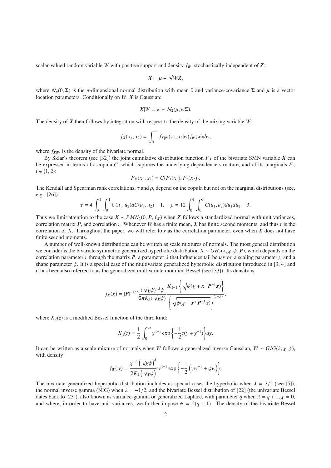scalar-valued random variable *W* with positive support and density *f<sup>W</sup>* , stochastically independent of *Z*:

$$
X=\mu+\sqrt{W}Z,
$$

where  $\mathcal{N}_n(0, \Sigma)$  is the *n*-dimensional normal distribution with mean 0 and variance-covariance  $\Sigma$  and  $\mu$  is a vector location parameters. Conditionally on *W*, *X* is Gaussian:

$$
X|W = w \sim \mathcal{N}_2(\mu, w\Sigma).
$$

The density of *X* then follows by integration with respect to the density of the mixing variable *W*:

$$
f_X(x_1, x_2) = \int_0^\infty f_{X|W}(x_1, x_2|w) f_W(w) dw,
$$

where  $f_{X|W}$  is the density of the bivariate normal.

By Sklar's theorem (see [32]) the joint cumulative distribution function  $F_X$  of the bivariate SMN variable  $X$  can be expressed in terms of a copula *C*, which captures the underlying dependence structure, and of its marginals *F<sup>i</sup>* ,  $i \in \{1, 2\}$ :

$$
F_X(x_1, x_2) = C\{F_1(x_1), F_2(x_2)\}.
$$

The Kendall and Spearman rank correlations,  $\tau$  and  $\rho$ , depend on the copula but not on the marginal distributions (see, e.g., [26]):

$$
\tau = 4 \int_0^1 \int_0^1 C(u_1, u_2) dC(u_1, u_2) - 1, \quad \rho = 12 \int_0^1 \int_0^1 C(u_1, u_2) du_1 du_2 - 3.
$$

Thus we limit attention to the case  $X \sim \frac{S M N_2(0, P, f_W)}{P}$  when *Z* follows a standardized normal with unit variances, correlation matrix *P*, and correlation *r*. Whenever *W* has a finite mean, *X* has finite second moments, and thus *r* is the correlation of  $X$ . Throughout the paper, we will refer to  $r$  as the correlation parameter, even when  $X$  does not have finite second moments.

A number of well-known distributions can be written as scale mixtures of normals. The most general distribution we consider is the bivariate symmetric generalized hyperbolic distribution *<sup>X</sup>* <sup>∼</sup> *GH*2(λ, χ, ψ, *<sup>P</sup>*), which depends on the correlation parameter *r* through the matrix *P*, a parameter  $\lambda$  that influences tail behavior, a scaling parameter  $\chi$  and a shape parameter  $\psi$ . It is a special case of the multivariate generalized hyperbolic distribution introduced in [3, 4] and it has been also referred to as the generalized multivariate modified Bessel (see [33]). Its density is

$$
f_X(\mathbf{x}) = |\mathbf{P}|^{-1/2} \frac{(\sqrt{\chi \psi})^{-\lambda} \psi}{2\pi K_{\lambda}(\sqrt{\chi \psi})} \frac{K_{\lambda-1} \left\{ \sqrt{\psi(\chi + \mathbf{x}^{\top} \mathbf{P}^{-1} \mathbf{x})} \right\}}{\left\{ \sqrt{\psi(\chi + \mathbf{x}^{\top} \mathbf{P}^{-1} \mathbf{x})} \right\}^{(1-\lambda)}},
$$

where  $K_{\lambda}(z)$  is a modified Bessel function of the third kind:

$$
K_{\lambda}(z) = \frac{1}{2} \int_0^{\infty} y^{\lambda - 1} \exp\left\{-\frac{1}{2}z(y + y^{-1})\right\} dy.
$$

It can be written as a scale mixture of normals when *W* follows a generalized inverse Gaussian,  $W \sim GIG(\lambda, \chi, \psi)$ , with density

$$
f_W(w) = \frac{\chi^{-\lambda}\left(\sqrt{\chi\psi}\right)^{\lambda}}{2K_{\lambda}\left(\sqrt{\chi\psi}\right)}w^{\lambda-1}\exp{\left\{-\frac{1}{2}\left(\chi w^{-1} + \psi w\right)\right\}}.
$$

The bivariate generalized hyperbolic distribution includes as special cases the hyperbolic when  $\lambda = 3/2$  (see [5]), the normal inverse gamma (NIG) when  $\lambda = -1/2$ , and the bivariate Bessel distribution of [22] (the univariate Bessel dates back to [23]), also known as variance-gamma or generalized Laplace, with parameter *q* when  $\lambda = q + 1$ ,  $\chi = 0$ , and where, in order to have unit variances, we further impose  $\psi = 2(q + 1)$ . The density of the bivariate Bessel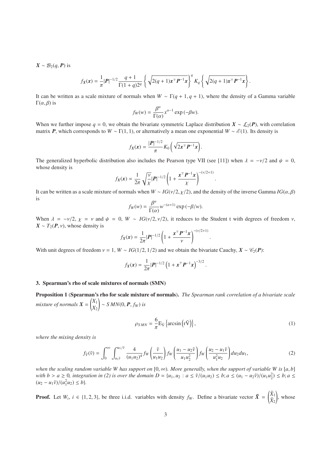$X \sim \mathcal{B}_2(q, P)$  is

$$
f_X(x) = \frac{1}{\pi} |\mathbf{P}|^{-1/2} \frac{q+1}{\Gamma(1+q)2^q} \left\{ \sqrt{2(q+1)x^{\top} \mathbf{P}^{-1} x} \right\}^q K_q \left\{ \sqrt{2(q+1)x^{\top} \mathbf{P}^{-1} x} \right\}
$$

It can be written as a scale mixture of normals when  $W \sim \Gamma(q + 1, q + 1)$ , where the density of a Gamma variable Γ $(α, β)$  is

$$
f_W(w) = \frac{\beta^{\alpha}}{\Gamma(\alpha)} x^{\alpha - 1} \exp(-\beta w).
$$

When we further impose  $q = 0$ , we obtain the bivariate symmetric Laplace distribution  $X \sim \mathcal{L}_2(P)$ , with correlation matrix *P*, which corresponds to  $W \sim \Gamma(1, 1)$ , or alternatively a mean one exponential  $W \sim \mathcal{E}(1)$ . Its density is

$$
f_X(x) = \frac{|P|^{-1/2}}{\pi} K_0\left(\sqrt{2x^\top P^{-1}x}\right).
$$

The generalized hyperbolic distribution also includes the Pearson type VII (see [11]) when  $\lambda = -\nu/2$  and  $\psi = 0$ , whose density is

$$
f_X(x) = \frac{1}{2\pi} \sqrt{\frac{v}{\chi}} |\mathbf{P}|^{-1/2} \left(1 + \frac{\mathbf{x}^\top \mathbf{P}^{-1} \mathbf{x}}{\chi}\right)^{-(v/2+1)}.
$$

It can be written as a scale mixture of normals when  $W \sim IG(v/2, \chi/2)$ , and the density of the inverse Gamma *IG*( $\alpha$ ,  $\beta$ ) is

$$
f_W(w) = \frac{\beta^{\alpha}}{\Gamma(\alpha)} w^{-(\alpha+1)} \exp(-\beta/w).
$$

When  $\lambda = -\nu/2$ ,  $\chi = \nu$  and  $\psi = 0$ ,  $W \sim IG(\nu/2, \nu/2)$ , it reduces to the Student t with degrees of freedom  $\nu$ ,  $X \sim T_2(P, v)$ , whose density is

$$
f_X(x) = \frac{1}{2\pi} |P|^{-1/2} \left(1 + \frac{x^{\top} P^{-1} x}{\nu}\right)^{-(\nu/2+1)}
$$

With unit degrees of freedom  $v = 1$ ,  $W \sim IG(1/2, 1/2)$  and we obtain the bivariate Cauchy,  $X \sim C_2(P)$ :

$$
f_X(x) = \frac{1}{2\pi} |P|^{-1/2} \left(1 + x^{\top} P^{-1} x\right)^{-3/2}
$$

#### 3. Spearman's rho of scale mixtures of normals (SMN)

Proposition 1 (Spearman's rho for scale mixture of normals). *The Spearman rank correlation of a bivariate scale mixture of normals*  $X = \begin{pmatrix} X_1 \\ Y_2 \end{pmatrix}$ *X*2  $\left( \sim SMN(0, \bm{P}, f_W) \right)$  *is* 

$$
\rho_{SMN} = \frac{6}{\pi} \mathcal{E}_{\tilde{\mathcal{V}}} \left\{ \arcsin \left( \mathbf{r} \tilde{\mathbf{V}} \right) \right\},\tag{1}
$$

.

.

.

*where the mixing density is*

$$
f_{\tilde{V}}(\tilde{v}) = \int_0^{\infty} \int_{u_1 \tilde{v}}^{u_1/\tilde{v}} \frac{4}{(u_1 u_2)^4} f_W\left(\frac{\tilde{v}}{u_1 u_2}\right) f_W\left(\frac{u_1 - u_2 \tilde{v}}{u_1 u_2^2}\right) f_W\left(\frac{u_2 - u_1 \tilde{v}}{u_1^2 u_2}\right) du_2 du_1,
$$
 (2)

*when the scaling random variable W has support on*  $[0, \infty)$ *. More generally, when the support of variable W is*  $[a, b]$ with  $b > a \ge 0$ , integration in (2) is over the domain  $D = \{u_1, u_2 : a \le \tilde{\nu}/(u_1u_2) \le b$ ;  $a \le (u_1 - u_2\tilde{\nu})/(u_1u_2^2) \le b$ ;  $a \le$  $(u_2 - u_1\tilde{v})/(u_1^2 u_2) \leq b$ .

**Proof.** Let  $W_i$ ,  $i \in \{1, 2, 3\}$ , be three i.i.d. variables with density  $f_W$ . Define a bivariate vector  $\tilde{X} = \begin{pmatrix} \tilde{X}_1 \\ \tilde{X}_2 \end{pmatrix}$  $\Big)$ , whose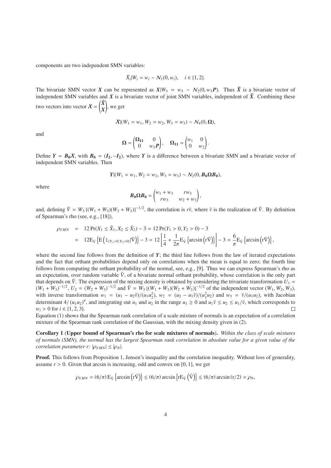components are two independent SMN variables:

$$
\tilde{X}_i|W_i = w_i \sim \mathcal{N}_1(0, w_i), \quad i \in \{1, 2\}.
$$

The bivariate SMN vector *X* can be represented as  $X|W_3 = w_3 \sim N_2(0, w_3 P)$ . Thus  $\tilde{X}$  is a bivariate vector of independent SMN variables and  $\hat{X}$  is a bivariate vector of joint SMN variables, independent of  $\tilde{X}$ . Combining these two vectors into vector  $\mathcal{X} = \begin{pmatrix} \tilde{X} \\ Y \end{pmatrix}$ *X* ! , we get

$$
\mathcal{X}|(W_1 = w_1, W_2 = w_2, W_3 = w_3) \sim \mathcal{N}_4(0, \Omega),
$$

and

$$
\Omega = \begin{pmatrix} \Omega_{11} & 0 \\ 0 & w_3 P \end{pmatrix}, \quad \Omega_{11} = \begin{pmatrix} w_1 & 0 \\ 0 & w_2 \end{pmatrix}.
$$

Define  $Y = B_0X$ , with  $B_0 = (I_2, -I_2)$ , where *Y* is a difference between a bivariate SMN and a bivariate vector of independent SMN variables. Then

$$
Y|(W_1 = w_1, W_2 = w_2, W_3 = w_3) \sim \mathcal{N}_2(0, B_0 \Omega B_0),
$$

where

$$
\boldsymbol{B}_0 \Omega \boldsymbol{B}_0 = \begin{pmatrix} w_1 + w_3 & r w_3 \\ r w_3 & w_2 + w_3 \end{pmatrix},
$$

and, defining  $\tilde{V} = W_3 \left\{ (W_1 + W_3)(W_2 + W_3) \right\}^{-1/2}$ , the correlation is  $r\tilde{v}$ , where  $\tilde{v}$  is the realization of  $\tilde{V}$ . By definition of Spearman's rho (see, e.g., [18]),

$$
\rho_{SMN} = 12 \Pr(X_1 \le \tilde{X}_1, X_2 \le \tilde{X}_2) - 3 = 12 \Pr(Y_1 > 0, Y_2 > 0) - 3
$$
  
=  $12 E_{\tilde{V}} \left\{ E \left( \mathbb{1}_{\{Y_1 > 0, Y_2 > 0\}} | \tilde{V} \right) \right\} - 3 = 12 \left[ \frac{1}{4} + \frac{1}{2\pi} E_{\tilde{V}} \left\{ \arcsin \left( r \tilde{V} \right) \right\} \right] - 3 = \frac{6}{\pi} E_{\tilde{V}} \left\{ \arcsin \left( r \tilde{V} \right) \right\},$ 

where the second line follows from the definition of  $Y$ ; the third line follows from the law of iterated expectations and the fact that orthant probabilities depend only on correlations when the mean is equal to zero; the fourth line follows from computing the orthant probability of the normal, see, e.g., [9]. Thus we can express Spearman's rho as an expectation, over random variable  $\tilde{V}$ , of a bivariate normal orthant probability, whose correlation is the only part that depends on  $\tilde{V}$ . The expression of the mixing density is obtained by considering the trivariate transformation  $U_1$  =  $(W_1 + W_3)^{-1/2}$ ,  $U_2 = (W_2 + W_3)^{-1/2}$  and  $\tilde{V} = W_3 \{(W_1 + W_3)(W_2 + W_3)\}^{-1/2}$  of the independent vector  $(W_1, W_2, W_3)$ , with inverse transformation  $w_1 = (u_1 - u_2\tilde{v})/(u_1u_2^2)$ ,  $w_2 = (u_2 - u_1\tilde{v})/(u_1^2u_2)$  and  $w_3 = \tilde{v}/(u_1u_2)$ , with Jacobian determinant 4/ $(u_1u_2)^4$ , and integrating out  $u_1$  and  $u_2$  in the range  $u_1 \ge 0$  and  $u_1\tilde{v} \le u_2 \le u_1/\tilde{v}$ , which corresponds to *w<sub>i</sub>* > 0 for *i* ∈ {1, 2, 3}.

Equation (1) shows that the Spearman rank correlation of a scale mixture of normals is an expectation of a correlation mixture of the Spearman rank correlation of the Gaussian, with the mixing density given in (2).

Corollary 1 (Upper bound of Spearman's rho for scale mixtures of normals). *Within the class of scale mixtures of normals (SMN), the normal has the largest Spearman rank correlation in absolute value for a given value of the correlation parameter r:*  $|\rho_{SMN}| \leq |\rho_N|$ *.* 

Proof. This follows from Proposition 1, Jensen's inequality and the correlation inequality. Without loss of generality, assume  $r > 0$ . Given that arcsin is increasing, odd and convex on [0, 1], we get

$$
\rho_{SMN} = (6/\pi) E_{\tilde{V}} \left\{ \arcsin \left( r\tilde{V} \right) \right\} \le (6/\pi) \arcsin \left\{ rE_{\tilde{V}} \left( \tilde{V} \right) \right\} \le (6/\pi) \arcsin \left( r/2 \right) = \rho_N,
$$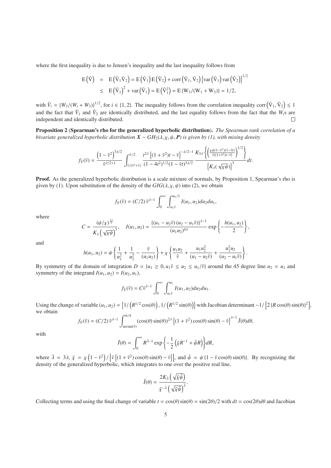where the first inequality is due to Jensen's inequality and the last inequality follows from

$$
E(\tilde{V}) = E(\tilde{V}_1 \tilde{V}_2) = E(\tilde{V}_1) E(\tilde{V}_2) + corr(\tilde{V}_1, \tilde{V}_2) \{ var(\tilde{V}_1) var(\tilde{V}_2) \}^{1/2}
$$
  
\n
$$
\leq E(\tilde{V}_1)^2 + var(\tilde{V}_1) = E(\tilde{V}_1^2) = E\{W_3/(W_1 + W_3)\} = 1/2,
$$

with  $\tilde{V}_i = \{W_3/(W_i + W_3)\}^{1/2}$ , for  $i \in \{1, 2\}$ . The inequality follows from the correlation inequality corr  $(\tilde{V}_1, \tilde{V}_2) \le 1$ and the fact that  $\tilde{V}_1$  and  $\tilde{V}_2$  are identically distributed, and the last equality follows from the fact that the  $W_i$ s are independent and identically distributed. П

Proposition 2 (Spearman's rho for the generalized hyperbolic distribution). *The Spearman rank correlation of a bivariate generalized hyperbolic distribution*  $X \sim GH_2(\lambda, \chi, \psi, P)$  *is given by (1), with mixing density* 

$$
f_{\tilde{V}}(\tilde{v}) = \frac{\left(1 - \tilde{v}^2\right)^{3\lambda/2}}{\tilde{v}^{\lambda/2+1}} \int_{\tilde{v}/(\tilde{v}^2+1)}^{1/2} \frac{t^{2\lambda} \left\{ \left(1 + \tilde{v}^2\right)t - \tilde{v} \right\}^{-\lambda/2-1} K_{3\lambda} \left\{ \left( \frac{\chi \psi(1-\tilde{v}^2)(1-\tilde{v}t)}{\tilde{v}((1+\tilde{v}^2)t-\tilde{v})} \right)^{1/2} \right\}}{\left\{ K_{\lambda}(\sqrt{\chi \psi}) \right\}^3} dt.
$$

 $1/2$ 

Proof. As the generalized hyperbolic distribution is a scale mixture of normals, by Proposition 1, Spearman's rho is given by (1). Upon substitution of the density of the  $GIG(\lambda, \chi, \psi)$  into (2), we obtain

$$
f_{\tilde{V}}(\tilde{v})=(C/2)\tilde{v}^{\lambda-1}\int_0^\infty\int_{u_1\tilde{v}}^{u_1/\tilde{v}}I(u_1,u_2)du_2du_1,
$$

where

$$
C = \frac{(\psi/\chi)^{\frac{34}{2}}}{K_{\lambda}(\sqrt{\chi\psi})^3}, \quad I(u_1, u_2) = \frac{\{(u_1 - u_2\tilde{v})(u_2 - u_1\tilde{v})\}^{\lambda - 1}}{(u_1u_2)^{4\lambda}} \exp\left\{-\frac{h(u_1, u_2)}{2}\right\},\,
$$

and

$$
h(u_1, u_2) = \psi \left\{ \frac{1}{u_1^2} + \frac{1}{u_2^2} - \frac{\tilde{\nu}}{(u_1 u_2)} \right\} + \chi \left\{ \frac{u_1 u_2}{\tilde{\nu}} + \frac{u_1 u_2^2}{(u_1 - u_2 \tilde{\nu})} + \frac{u_1^2 u_2}{(u_2 - u_1 \tilde{\nu})} \right\}.
$$

By symmetry of the domain of integration  $D = \{u_1 \geq 0, u_1\tilde{v} \leq u_2 \leq u_1/\tilde{v}\}\$ around the 45 degree line  $u_2 = u_1$  and symmetry of the integrand  $I(u_1, u_2) = I(u_2, u_1)$ ,

$$
f_{\tilde{V}}(\tilde{v})=C\tilde{v}^{\lambda-1}\int_0^\infty\int_{u_1\tilde{v}}^{u_1}I(u_1,u_2)du_2du_1.
$$

Using the change of variable  $(u_1, u_2) = \left\{1/\left(R^{1/2}\cos(\theta)\right), 1/\left(R^{1/2}\sin(\theta)\right)\right\}$  with Jacobian determinant  $-1/\left[2\left\{R\cos(\theta)\sin(\theta)\right\}^2\right],$ we obtain

$$
f_{\tilde{V}}(\tilde{v}) = (C/2) \tilde{v}^{\lambda - 1} \int_{\arctan(\tilde{v})}^{\pi/4} (\cos(\theta) \sin(\theta))^{2\lambda} \left\{ (1 + \tilde{v}^2) \cos(\theta) \sin(\theta) - \tilde{v} \right\}^{\lambda - 1} \tilde{I}(\theta) d\theta,
$$

with

$$
\tilde{I}(\theta) = \int_0^\infty R^{\lambda - 1} \exp \left\{-\frac{1}{2} \left(\bar{\chi} R^{-1} + \bar{\psi} R\right)\right\} dR,
$$

where  $\bar{\lambda} = 3\lambda$ ,  $\bar{\chi} = \chi \left(1 - \tilde{v}^2\right) / \left[\tilde{v}\left\{(1 + \tilde{v}^2) \cos(\theta) \sin(\theta) - \tilde{v}\right\}\right]$ , and  $\bar{\psi} = \psi \left\{1 - \tilde{v} \cos(\theta) \sin(\theta)\right\}$ . By recognizing the density of the generalized hyperbolic, which integrates to one over the positive real line,

$$
\widetilde{I}(\theta) = \frac{2K_{\lambda}\left(\sqrt{\overline{\chi}\overline{\psi}}\right)}{\overline{\chi}^{-\lambda}\left(\sqrt{\overline{\chi}\overline{\psi}}\right)^{\overline{\lambda}}}.
$$

Collecting terms and using the final change of variable  $t = \cos(\theta) \sin(\theta) = \sin(2\theta)/2$  with  $dt = \cos(2\theta)d\theta$  and Jacobian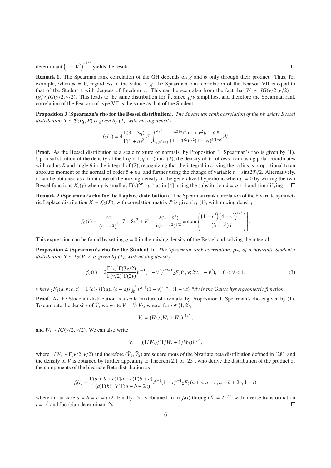determinant  $(1 - 4t^2)^{-1/2}$  yields the result.

**Remark 1.** The Spearman rank correlation of the GH depends on  $\chi$  and  $\psi$  only through their product. Thus, for example, when  $\psi = 0$ , regardless of the value of  $\chi$ , the Spearman rank correlation of the Pearson VII is equal to that of the Student t with degrees of freedom *ν*. This can be seen also from the fact that  $W \sim IG(v/2, \chi/2)$  =  $(\chi/\nu)IG(\nu/2, \nu/2)$ . This leads to the same distribution for  $\tilde{V}$ , since  $\chi/\nu$  simplifies, and therefore the Spearman rank correlation of the Pearson of type VII is the same as that of the Student t.

Proposition 3 (Spearman's rho for the Bessel distribution). *The Spearman rank correlation of the bivariate Bessel distribution*  $X \sim B_2(q, P)$  *is given by (1), with mixing density* 

$$
f_{\tilde{V}}(\tilde{v}) = 4 \frac{\Gamma(3+3q)}{\Gamma(1+q)^3} \tilde{v}^q \int_{\tilde{v}/(\tilde{v}^2+1)}^{\frac{1}{2}} \frac{t^{2(1+q)} \{ (1+\tilde{v}^2)t - \tilde{v} \}^q}{(1-4t^2)^{1/2}(1-\tilde{v}t)^{3(1+q)}} dt.
$$

Proof. As the Bessel distribution is a scale mixture of normals, by Proposition 1, Spearman's rho is given by (1). Upon substitution of the density of the  $\Gamma(q+1, q+1)$  into (2), the density of  $\tilde{V}$  follows from using polar coordinates with radius *R* and angle  $\theta$  in the integral of (2), recognizing that the integral involving the radius is proportional to an absolute moment of the normal of order  $5 + 6q$ , and further using the change of variable  $t = \frac{\sin(2\theta)}{2}$ . Alternatively, it can be obtained as a limit case of the mixing density of the generalized hyperbolic when  $\chi = 0$  by writing the two Bessel functions  $K_v(y)$  when *y* is small as  $\Gamma(v)2^{v-1}y^{-v}$  as in [4], using the substitution  $\lambda = q + 1$  and simplifying.  $\Box$ 

Remark 2 (Spearman's rho for the Laplace distribution). The Spearman rank correlation of the bivariate symmetric Laplace distribution  $X \sim \mathcal{L}_2(P)$ , with correlation matrix P is given by (1), with mixing density

$$
f_{\tilde{V}}(\tilde{v}) = \frac{4\tilde{v}}{(4-\tilde{v}^2)^2} \left[ 7 - 8\tilde{v}^2 + \tilde{v}^4 + \frac{2(2+\tilde{v}^2)}{\tilde{v}(4-\tilde{v}^2)^{1/2}} \arctan\left\{ \frac{\left(1-\tilde{v}^2\right)\left(4-\tilde{v}^2\right)^{1/2}}{(3-\tilde{v}^2)\tilde{v}} \right\} \right].
$$

This expression can be found by setting  $q = 0$  in the mixing density of the Bessel and solving the integral.

**Proposition 4 (Spearman's rho for the Student t).** *The Spearman rank correlation,*  $\rho_T$ *, of a bivariate Student t distribution*  $X \sim T_2(P, v)$  *is given by (1), with mixing density* 

$$
f_{\tilde{V}}(\tilde{v}) = 2 \frac{\Gamma(\nu)^2 \Gamma(3\nu/2)}{\Gamma(\nu/2)^3 \Gamma(2\nu)} \tilde{v}^{\nu-1} (1 - \tilde{v}^2)^{\nu/2 - 1} {}_{2}F_1(v, \nu; 2\nu, 1 - \tilde{v}^2), \quad 0 < \tilde{v} < 1,\tag{3}
$$

where  ${}_2F_1(a,b;c,z) = \Gamma(c)/\{\Gamma(a)\Gamma(c-a)\}\int_0^1 v^{a-1}(1-v)^{c-a-1}(1-vz)^{-b}dv$  is the Gauss hypergeometric function.

Proof. As the Student t distribution is a scale mixture of normals, by Proposition 1, Spearman's rho is given by (1). To compute the density of  $\tilde{V}$ , we write  $\tilde{V} = \tilde{V}_1 \tilde{V}_2$ , where, for  $i \in \{1, 2\}$ ,

$$
\tilde{V}_i = \{W_3/(W_i + W_3)\}^{1/2},
$$

and  $W_i \sim IG(\nu/2, \nu/2)$ . We can also write

$$
\tilde{V}_i = \left\{ (1/W_i)/(1/W_i + 1/W_3) \right\}^{1/2},
$$

where  $1/W_i \sim \Gamma(\nu/2, \nu/2)$  and therefore  $(\tilde{V}_1, \tilde{V}_2)$  are square roots of the bivariate beta distribution defined in [28], and the density of  $\tilde{V}$  is obtained by further appealing to Theorem 2.1 of [25], who derive the distribution of the product of the components of the bivariate Beta distribution as

$$
f_t(t) = \frac{\Gamma(a+b+c)\Gamma(a+c)\Gamma(b+c)}{\Gamma(a)\Gamma(b)\Gamma(c)\Gamma(a+b+2c)}t^{a-1}(1-t)^{c-1}{}_2F_1(a+c,a+c; a+b+2c, 1-t),
$$

where in our case  $a = b = c = v/2$ . Finally, (3) is obtained from  $f_t(t)$  through  $\tilde{V} = T^{1/2}$ , with inverse transformation  $t = \tilde{v}^2$  and Jacobian determinant  $2\tilde{v}$ .  $\Box$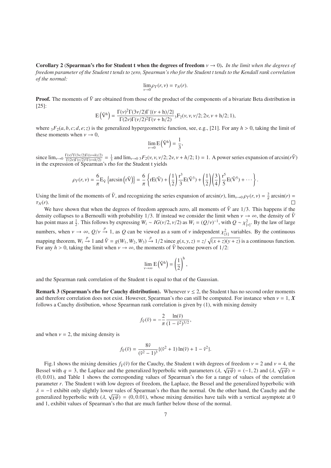Corollary 2 (Spearman's rho for Student t when the degrees of freedom ν → 0). *In the limit when the degrees of freedom parameter of the Student t tends to zero, Spearman's rho for the Student t tends to the Kendall rank correlation of the normal:*

$$
\lim_{\nu \to 0} \rho_T(r, \nu) = \tau_N(r).
$$

**Proof.** The moments of  $\tilde{V}$  are obtained from those of the product of the components of a bivariate Beta distribution in [25]:

$$
E\left(\tilde{V}^h\right) = \frac{\Gamma(\nu)^2 \Gamma(3\nu/2) \Gamma\left\{(\nu+h)/2\right\}}{\Gamma(2\nu) \Gamma(\nu/2)^2 \Gamma(\nu+h/2)} {}_3F_2(\nu,\nu,\nu/2;2\nu,\nu+h/2;1),
$$

where  ${}_{3}F_{2}(a, b, c; d, e; z)$  is the generalized hypergeometric function, see, e.g., [21]. For any  $h > 0$ , taking the limit of these moments when  $v \to 0$ ,

$$
\lim_{\nu\to 0}E\left(\tilde{V}^h\right)=\frac{1}{3},
$$

since  $\lim_{\nu \to 0} \frac{\Gamma(\nu)^2 \Gamma(3\nu/2) \Gamma((\nu+h)/2)}{\Gamma(2\nu) \Gamma(\nu/2)^2 \Gamma(\nu+h/2)} = \frac{1}{3}$  and  $\lim_{\nu \to 0} \frac{3F_2(\nu, \nu, \nu/2; 2\nu, \nu+h/2; 1)}{F_2(\nu, \nu, \nu/h/2; 1)} = 1$ . A power series expansion of arcsin( $r\tilde{V}$ ) in the expression of Spearman's rho for the Student t yields

$$
\rho_T(r,\nu) = \frac{6}{\pi} E_{\tilde{V}} \left\{ \arcsin \left( \mathbf{r}\tilde{V} \right) \right\} = \frac{6}{\pi} \left\{ \mathbf{r} E(\tilde{V}) + \left( \frac{1}{2} \right) \frac{\mathbf{r}^3}{3} E(\tilde{V}^3) + \left( \frac{1}{2} \right) \left( \frac{3}{4} \right) \frac{\mathbf{r}^5}{5} E(\tilde{V}^5) + \cdots \right\}.
$$

Using the limit of the moments of  $\tilde{V}$ , and recognizing the series expansion of arcsin(*r*),  $\lim_{v\to 0} \rho_T(r, v) = \frac{2}{\pi} \arcsin(r)$  $\tau_N(r)$ .  $\Box$ 

We have shown that when the degrees of freedom approach zero, all moments of  $\tilde{V}$  are  $1/3$ . This happens if the density collapses to a Bernoulli with probability 1/3. If instead we consider the limit when  $v \to \infty$ , the density of  $\tilde{V}$ has point mass at  $\frac{1}{2}$ . This follows by expressing  $W_i \sim IG(\nu/2, \nu/2)$  as  $W_i = (Q/\nu)^{-1}$ , with  $Q \sim \chi^2_{[\nu]}$ . By the law of large numbers, when  $v \to \infty$ ,  $Q/v \stackrel{p}{\to} 1$ , as  $Q$  can be viewed as a sum of  $v$  independent  $\chi^2_{[1]}$  variables. By the continuous mapping theorem,  $W_i \xrightarrow{p} 1$  and  $\tilde{V} = g(W_1, W_2, W_3) \xrightarrow{p} 1/2$  since  $g(x, y, z) = z/\sqrt{(x + z)(y + z)}$  is a continuous function. For any  $h > 0$ , taking the limit when  $v \to \infty$ , the moments of  $\tilde{V}$  become powers of 1/2:

$$
\lim_{\nu \to \infty} E(\tilde{V}^h) = \left(\frac{1}{2}\right)^h,
$$

and the Spearman rank correlation of the Student t is equal to that of the Gaussian.

**Remark 3 (Spearman's rho for Cauchy distribution).** Whenever  $v \le 2$ , the Student t has no second order moments and therefore correlation does not exist. However, Spearman's rho can still be computed. For instance when  $v = 1$ ,  $X$ follows a Cauchy distibution, whose Spearman rank correlation is given by (1), with mixing density

$$
f_{\tilde{V}}(\tilde{v}) = -\frac{2}{\pi} \frac{\ln(\tilde{v})}{(1 - \tilde{v}^2)^{3/2}},
$$

and when  $v = 2$ , the mixing density is

$$
f_{\tilde{V}}(\tilde{v}) = \frac{8\tilde{v}}{(\tilde{v}^2 - 1)^3} \{ (\tilde{v}^2 + 1) \ln(\tilde{v}) + 1 - \tilde{v}^2 \}.
$$

Fig.1 shows the mixing densities  $f_V(\tilde{v})$  for the Cauchy, the Student t with degrees of freedom  $v = 2$  and  $v = 4$ , the Bessel with  $q = 3$ , the Laplace and the generalized hyperbolic with parameters ( $\lambda$ ,  $\sqrt{\chi \psi}$ ) = (-1, 2) and ( $\lambda$ ,  $\sqrt{\chi \psi}$ ) =  $(0, 0.01)$ , and Table 1 shows the corresponding values of Spearman's rho for a range of values of the correlation parameter *r*. The Student t with low degrees of freedom, the Laplace, the Bessel and the generalized hyperbolic with  $\lambda = -1$  exhibit only slightly lower vales of Spearman's rho than the normal. On the other hand, the Cauchy and the generalized hyperbolic with  $(\lambda, \sqrt{\chi\psi}) = (0, 0.01)$ , whose mixing densities have tails with a vertical asymptote at 0 and 1, exhibit values of Spearman's rho that are much farther below those of the normal.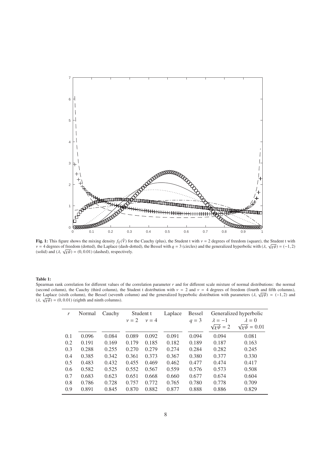

**Fig. 1:** This figure shows the mixing density  $f_V(\tilde{V})$  for the Cauchy (plus), the Student t with  $v = 2$  degrees of freedom (square), the Student t with  $\nu = 4$  degrees of freedom (dotted), the Laplace (dash-dotted), the Bessel with *q* = 3 (circles) and the generalized hyperbolic with ( $\lambda$ ,  $\sqrt{\chi\psi}$ ) = (-1, 2) (solid) and  $(\lambda, \sqrt{\chi\psi}) = (0, 0.01)$  (dashed), respectively.

#### Table 1:

Spearman rank correlation for different values of the correlation parameter  $r$  and for different scale mixture of normal distributions: the normal (second column), the Cauchy (third column), the Student t distribution with  $v = 2$  and  $v = 4$  degrees of freedom (fourth and fifth columns), the Laplace (sixth column), the Bessel (seventh column) and the generalized hyperbolic distribution with parameters ( $\lambda$ ,  $\sqrt{\chi\psi}$ ) = (-1, 2) and  $(\lambda, \sqrt{\chi\psi})$  = (0, 0.01) (eighth and ninth columns).

| r   | Normal | Cauchy | Student t |           | Laplace | <b>Bessel</b> | Generalized hyperbolic |                          |
|-----|--------|--------|-----------|-----------|---------|---------------|------------------------|--------------------------|
|     |        |        | $\nu = 2$ | $\nu = 4$ |         | $q = 3$       | $\lambda = -1$         | $\lambda = 0$            |
|     |        |        |           |           |         |               | $\sqrt{x\psi} = 2$     | $\sqrt{\chi\psi} = 0.01$ |
| 0.1 | 0.096  | 0.084  | 0.089     | 0.092     | 0.091   | 0.094         | 0.094                  | 0.081                    |
| 0.2 | 0.191  | 0.169  | 0.179     | 0.185     | 0.182   | 0.189         | 0.187                  | 0.163                    |
| 0.3 | 0.288  | 0.255  | 0.270     | 0.279     | 0.274   | 0.284         | 0.282                  | 0.245                    |
| 0.4 | 0.385  | 0.342  | 0.361     | 0.373     | 0.367   | 0.380         | 0.377                  | 0.330                    |
| 0.5 | 0.483  | 0.432  | 0.455     | 0.469     | 0.462   | 0.477         | 0.474                  | 0.417                    |
| 0.6 | 0.582  | 0.525  | 0.552     | 0.567     | 0.559   | 0.576         | 0.573                  | 0.508                    |
| 0.7 | 0.683  | 0.623  | 0.651     | 0.668     | 0.660   | 0.677         | 0.674                  | 0.604                    |
| 0.8 | 0.786  | 0.728  | 0.757     | 0.772     | 0.765   | 0.780         | 0.778                  | 0.709                    |
| 0.9 | 0.891  | 0.845  | 0.870     | 0.882     | 0.877   | 0.888         | 0.886                  | 0.829                    |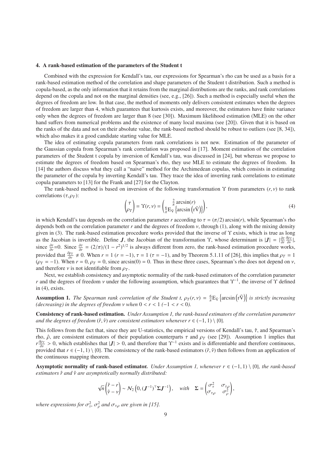#### 4. A rank-based estimation of the parameters of the Student t

Combined with the expression for Kendall's tau, our expressions for Spearman's rho can be used as a basis for a rank-based estimation method of the correlation and shape parameters of the Student t distribution. Such a method is copula-based, as the only information that it retains from the marginal distributions are the ranks, and rank correlations depend on the copula and not on the marginal densities (see, e.g., [26]). Such a method is especially useful when the degrees of freedom are low. In that case, the method of moments only delivers consistent estimates when the degrees of freedom are larger than 4, which guarantees that kurtosis exists, and moreover, the estimators have finite variance only when the degrees of freedom are larger than 8 (see [30]). Maximum likelihood estimation (MLE) on the other hand suffers from numerical problems and the existence of many local maxima (see [20]). Given that it is based on the ranks of the data and not on their absolute value, the rank-based method should be robust to outliers (see [8, 34]), which also makes it a good candidate starting value for MLE.

The idea of estimating copula parameters from rank correlations is not new. Estimation of the parameter of the Gaussian copula from Spearman's rank correlation was proposed in [17]. Moment estimation of the correlation parameters of the Student t copula by inversion of Kendall's tau, was discussed in [24], but whereas we propose to estimate the degrees of freedom based on Spearman's rho, they use MLE to estimate the degrees of freedom. In [14] the authors discuss what they call a "naive" method for the Archimedean copulas, which consists in estimating the parameter of the copula by inverting Kendall's tau. They trace the idea of inverting rank correlations to estimate copula parameters to [13] for the Frank and [27] for the Clayton.

The rank-based method is based on inversion of the following transformation  $\Upsilon$  from parameters  $(r, v)$  to rank correlations  $(\tau, \rho_T)$ :

$$
\begin{pmatrix} \tau \\ \rho_T \end{pmatrix} = \Upsilon(r, \nu) = \begin{pmatrix} \frac{2}{\pi} \arcsin(r) \\ \frac{6}{\pi} E_{\tilde{\mathcal{V}}} \left\{ \arcsin\left(\mathbf{r}\tilde{\mathcal{V}}\right) \right\} \end{pmatrix},\tag{4}
$$

in which Kendall's tau depends on the correlation parameter *r* according to  $\tau = (\pi/2) \arcsin(r)$ , while Spearman's rho depends both on the correlation parameter *r* and the degrees of freedom ν, through (1), along with the mixing density given in (3). The rank-based estimation procedure works provided that the inverse of Υ exists, which is true as long as the Jacobian is invertible. Define *J*, the Jacobian of the transformation  $\gamma$ , whose determinant is  $|J| = \left| \frac{\partial \tau}{\partial r} \frac{\partial \rho_T}{\partial y} \right|$ , since  $\frac{\partial \tau}{\partial r}$  = (2/π)/(1 –  $r^2$ )<sup>1/2</sup> is always different from zero, the rank-based estimation procedure works, provided that  $\frac{\partial \rho_T}{\partial v} \neq 0$ . When  $r = 1$  ( $r = -1$ ),  $\tau = 1$  ( $\tau = -1$ ), and by Theorem 5.1.11 of [26], this implies that  $\rho_T = 1$  $(\rho_T = -1)$ . When  $r = 0$ ,  $\rho_T = 0$ , since arcsin(0) = 0. Thus in these three cases, Spearman's rho does not depend on  $\nu$ , and therefore  $\nu$  is not identifiable from  $\rho_T$ .

Next, we establish consistency and asymptotic normality of the rank-based estimators of the correlation parameter *r* and the degrees of freedom *v* under the following assumption, which guarantees that  $\Upsilon^{-1}$ , the inverse of  $\Upsilon$  defined in (4), exists.

**Assumption 1.** The Spearman rank correlation of the Student t,  $\rho_T(r, v) = \frac{6}{\pi} E_{\tilde{V}} \left\{ \arcsin(r\tilde{V}) \right\}$  is strictly increasing *(decreasing) in the degrees of freedom*  $\nu$  *when*  $0 < r < 1$  *(-1 < r < 0).* 

Consistency of rank-based estimation. *Under Assumption 1, the rank-based estimators of the correlation parameter and the degrees of freedom*  $(\hat{r}, \hat{v})$  *are consistent estimators whenever*  $r \in (-1, 1) \setminus \{0\}$ *.* 

This follows from the fact that, since they are U-statistics, the empirical versions of Kendall's tau,  $\hat{\tau}$ , and Spearman's rho,  $ρ$ , are consistent estimators of their population counterparts τ and  $ρ_T$  (see [29]). Assumption 1 implies that  $r \frac{\partial \rho_T}{\partial v} > 0$ , which establishes that  $|J| > 0$ , and therefore that  $\Upsilon^{-1}$  exists and is differentiable and therefore continuous, provided that  $r \in (-1, 1) \setminus \{0\}$ . The consistency of the rank-based estimators  $(\hat{r}, \hat{v})$  then follows from an application of the continuous mapping theorem.

Asymptotic normality of rank-based estimator. *Under Assumption 1, whenever*  $r \in (-1,1) \setminus \{0\}$ *, the rank-based estimators*  $\hat{r}$  *and*  $\hat{v}$  *are asymptotically normally distributed:* 

$$
\sqrt{n}\begin{pmatrix} \hat{r} - r \\ \hat{v} - v \end{pmatrix} \sim N_2\left(0, (\boldsymbol{J}^{-1})^\top \boldsymbol{\Sigma} \boldsymbol{J}^{-1}\right), \quad \text{with} \quad \boldsymbol{\Sigma} = \begin{pmatrix} \sigma_\tau^2 & \sigma_{\tau,\rho} \\ \sigma_{\tau,\rho} & \sigma_\rho^2 \end{pmatrix},
$$

where expressions for  $\sigma_{\tau}^2$ ,  $\sigma_{\rho}^2$  and  $\sigma_{\tau,\rho}$  are given in [15].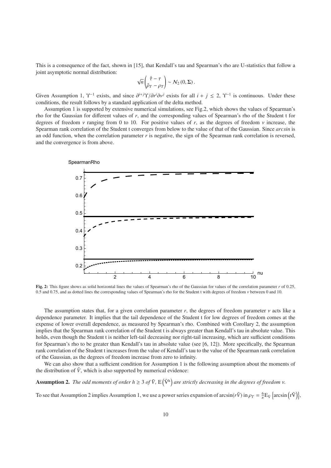This is a consequence of the fact, shown in [15], that Kendall's tau and Spearman's rho are U-statistics that follow a joint asymptotic normal distribution:

$$
\sqrt{n}\begin{pmatrix}\hat{\tau}-\tau\\ \hat{\rho}_T-\rho_T\end{pmatrix}\sim \mathcal{N}_2(0,\Sigma).
$$

Given Assumption 1,  $\Upsilon^{-1}$  exists, and since  $\frac{\partial^{i+j}\Upsilon}{\partial r^i\partial v^j}$  exists for all  $i + j \le 2$ ,  $\Upsilon^{-1}$  is continuous. Under these conditions, the result follows by a standard application of the delta method.

Assumption 1 is supported by extensive numerical simulations, see Fig.2, which shows the values of Spearman's rho for the Gaussian for different values of *r*, and the corresponding values of Spearman's rho of the Student t for degrees of freedom  $\nu$  ranging from 0 to 10. For positive values of r, as the degrees of freedom  $\nu$  increase, the Spearman rank correlation of the Student t converges from below to the value of that of the Gaussian. Since *arcsin* is an odd function, when the correlation parameter *r* is negative, the sign of the Spearman rank correlation is reversed, and the convergence is from above.



Fig. 2: This figure shows as solid horizontal lines the values of Spearman's rho of the Gaussian for values of the correlation parameter *r* of 0.25, 0.5 and 0.75, and as dotted lines the corresponding values of Spearman's rho for the Student t with degrees of freedom ν between 0 and 10.

The assumption states that, for a given correlation parameter  $r$ , the degrees of freedom parameter  $\nu$  acts like a dependence parameter. It implies that the tail dependence of the Student t for low degrees of freedom comes at the expense of lower overall dependence, as measured by Spearman's rho. Combined with Corollary 2, the assumption implies that the Spearman rank correlation of the Student t is always greater than Kendall's tau in absolute value. This holds, even though the Student t is neither left-tail decreasing nor right-tail increasing, which are sufficient conditions for Spearman's rho to be greater than Kendall's tau in absolute value (see [6, 12]). More specifically, the Spearman rank correlation of the Student t increases from the value of Kendall's tau to the value of the Spearman rank correlation of the Gaussian, as the degrees of freedom increase from zero to infinity.

We can also show that a sufficient condition for Assumption 1 is the following assumption about the moments of the distribution of  $\tilde{V}$ , which is also supported by numerical evidence:

**Assumption 2.** The odd moments of order  $h \geq 3$  of  $\tilde{V}$ ,  $E(\tilde{V}^h)$  are strictly decreasing in the degrees of freedom  $v$ .

To see that Assumption 2 implies Assumption 1, we use a power series expansion of  $\arcsin(r\tilde{V})$  in  $\rho_T = \frac{6}{\pi} E_{\tilde{V}} \left\{ \arcsin(r\tilde{V}) \right\}$ ,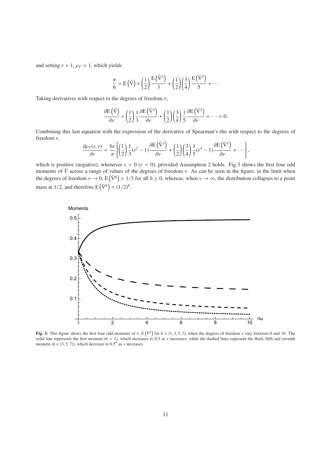and setting  $r = 1$ ,  $\rho_T = 1$ , which yields

$$
\frac{\pi}{6} = E(\tilde{V}) + \left(\frac{1}{2}\right) \frac{E(\tilde{V}^3)}{3} + \left(\frac{1}{2}\right) \left(\frac{3}{4}\right) \frac{E(\tilde{V}^5)}{5} + \cdots
$$

Taking derivatives with respect to the degrees of freedom  $v$ ,

$$
\frac{\partial E(\tilde{V})}{\partial v} + \left(\frac{1}{2}\right) \frac{1}{3} \frac{\partial E(\tilde{V}^3)}{\partial v} + \left(\frac{1}{2}\right) \left(\frac{3}{4}\right) \frac{1}{5} \frac{\partial E(\tilde{V}^5)}{\partial v} + \cdots = 0.
$$

Combining this last equation with the expression of the derivative of Spearman's rho with respect to the degrees of freedom ν,

$$
\frac{\partial \rho_T(r,\nu)}{\partial \nu} = \frac{6r}{\pi} \left[ \left( \frac{1}{2} \right) \frac{1}{3} (r^2 - 1) \frac{\partial E(\tilde{V}^3)}{\partial \nu} + \left( \frac{1}{2} \right) \left( \frac{3}{4} \right) \frac{1}{5} (r^4 - 1) \frac{\partial E(\tilde{V}^5)}{\partial \nu} + \cdots \right],
$$

which is positive (negative), whenever  $r > 0$  ( $r < 0$ ), provided Assumption 2 holds. Fig.3 shows the first four odd moments of  $\tilde{V}$  across a range of values of the degrees of freedom  $v$ . As can be seen in the figure, in the limit when the degrees of freedom  $v \to 0$ ,  $E(\tilde{V}^h) = 1/3$  for all  $h \ge 0$ , whereas, when  $v \to \infty$ , the distribution collapses to a point mass at 1/2, and therefore  $E(\tilde{V}^h) = (1/2)^h$ .



Fig. 3: This figure shows the first four odd moments of  $\tilde{v}$ ,  $E(\tilde{V}^h)$  for  $h \in \{1, 3, 5, 7\}$ , when the degrees of freedom  $v$  vary between 0 and 10. The solid line represents the first moment ( $h = 1$ ), which increases to 0.5 as *v* increases, while the dashed lines represent the third, fifth and seventh moment ( $h \in \{3, 5, 7\}$ ), which decrease to  $0.5<sup>h</sup>$  as  $\nu$  increases.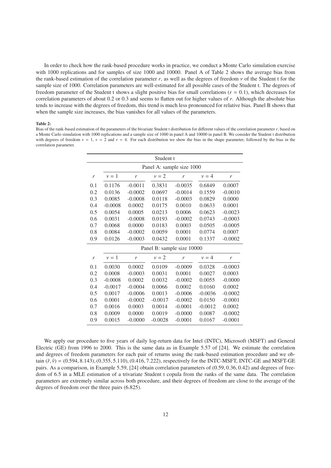In order to check how the rank-based procedure works in practice, we conduct a Monte Carlo simulation exercise with 1000 replications and for samples of size 1000 and 10000. Panel A of Table 2 shows the average bias from the rank-based estimation of the correlation parameter  $r$ , as well as the degrees of freedom  $\nu$  of the Student t for the sample size of 1000. Correlation parameters are well-estimated for all possible cases of the Student t. The degrees of freedom parameter of the Student t shows a slight positive bias for small correlations ( $r = 0.1$ ), which decreases for correlation parameters of about 0.2 or 0.3 and seems to flatten out for higher values of *r*. Although the absolute bias tends to increase with the degrees of freedom, this trend is much less pronounced for relative bias. Panel B shows that when the sample size increases, the bias vanishes for all values of the parameters.

#### Table 2:

Bias of the rank-based estimation of the parameters of the bivariate Student t distribution for different values of the correlation parameter *r*, based on a Monte Carlo simulation with 1000 replications and a sample size of 1000 in panel A and 10000 in panel B. We consider the Student t distribution with degrees of freedom  $v = 1$ ,  $v = 2$  and  $v = 4$ . For each distribution we show the bias in the shape parameter, followed by the bias in the correlation parameter.

| Student t |                            |           |           |           |           |           |  |  |  |  |  |  |
|-----------|----------------------------|-----------|-----------|-----------|-----------|-----------|--|--|--|--|--|--|
|           | Panel A: sample size 1000  |           |           |           |           |           |  |  |  |  |  |  |
| r         | $\nu = 1$                  | r         | $\nu = 2$ | r         | $\nu = 4$ | r         |  |  |  |  |  |  |
| 0.1       | 0.1176                     | $-0.0011$ | 0.3831    | $-0.0035$ | 0.6849    | 0.0007    |  |  |  |  |  |  |
| 0.2       | 0.0136                     | $-0.0002$ | 0.0697    | $-0.0014$ | 0.1559    | $-0.0010$ |  |  |  |  |  |  |
| 0.3       | 0.0085                     | $-0.0008$ | 0.0118    | $-0.0003$ | 0.0829    | 0.0000    |  |  |  |  |  |  |
| 0.4       | $-0.0008$                  | 0.0002    | 0.0175    | 0.0010    | 0.0633    | 0.0001    |  |  |  |  |  |  |
| 0.5       | 0.0054                     | 0.0005    | 0.0213    | 0.0006    | 0.0623    | $-0.0023$ |  |  |  |  |  |  |
| 0.6       | 0.0031                     | $-0.0008$ | 0.0193    | $-0.0002$ | 0.0743    | $-0.0003$ |  |  |  |  |  |  |
| 0.7       | 0.0068                     | 0.0000    | 0.0183    | 0.0003    | 0.0505    | $-0.0005$ |  |  |  |  |  |  |
| 0.8       | 0.0084                     | $-0.0002$ | 0.0059    | 0.0001    | 0.0774    | 0.0007    |  |  |  |  |  |  |
| 0.9       | 0.0126                     | $-0.0003$ | 0.0432    | 0.0001    | 0.1337    | $-0.0002$ |  |  |  |  |  |  |
|           | Panel B: sample size 10000 |           |           |           |           |           |  |  |  |  |  |  |
| r         | $\nu = 1$                  | r         | $\nu = 2$ | r         | $\nu = 4$ | r         |  |  |  |  |  |  |
| 0.1       | 0.0030                     | 0.0002    | 0.0109    | $-0.0009$ | 0.0328    | $-0.0003$ |  |  |  |  |  |  |
| 0.2       | 0.0008                     | $-0.0003$ | 0.0031    | 0.0001    | 0.0027    | 0.0003    |  |  |  |  |  |  |
| 0.3       | $-0.0008$                  | 0.0002    | 0.0032    | $-0.0002$ | 0.0055    | $-0.0000$ |  |  |  |  |  |  |
| 0.4       | $-0.0017$                  | $-0.0004$ | 0.0066    | 0.0002    | 0.0160    | 0.0002    |  |  |  |  |  |  |
| 0.5       | 0.0017                     | $-0.0006$ | 0.0013    | $-0.0006$ | $-0.0036$ | $-0.0002$ |  |  |  |  |  |  |
| 0.6       | 0.0001                     | $-0.0002$ | $-0.0017$ | $-0.0002$ | 0.0150    | $-0.0001$ |  |  |  |  |  |  |
| 0.7       | 0.0016                     | 0.0003    | 0.0014    | $-0.0001$ | $-0.0012$ | 0.0002    |  |  |  |  |  |  |
| 0.8       | 0.0009                     | 0.0000    | 0.0019    | $-0.0000$ | 0.0087    | $-0.0002$ |  |  |  |  |  |  |
| 0.9       | 0.0015                     | $-0.0000$ | $-0.0028$ | $-0.0001$ | 0.0167    | $-0.0001$ |  |  |  |  |  |  |

We apply our procedure to five years of daily log-return data for Intel (INTC), Microsoft (MSFT) and General Electric (GE) from 1996 to 2000. This is the same data as in Example 5.57 of [24]. We estimate the correlation and degrees of freedom parameters for each pair of returns using the rank-based estimation procedure and we obtain  $(\hat{r}, \hat{v}) = (0.594, 8.143), (0.355, 5.110), (0.416, 7.222)$ , respectively for the INTC-MSFT, INTC-GE and MSFT-GE pairs. As a comparison, in Example 5.59, [24] obtain correlation parameters of (0.59, 0.36, 0.42) and degrees of freedom of 6.5 in a MLE estimation of a trivariate Student t copula from the ranks of the same data. The correlation parameters are extremely similar across both procedure, and their degrees of freedom are close to the average of the degrees of freedom over the three pairs (6.825).